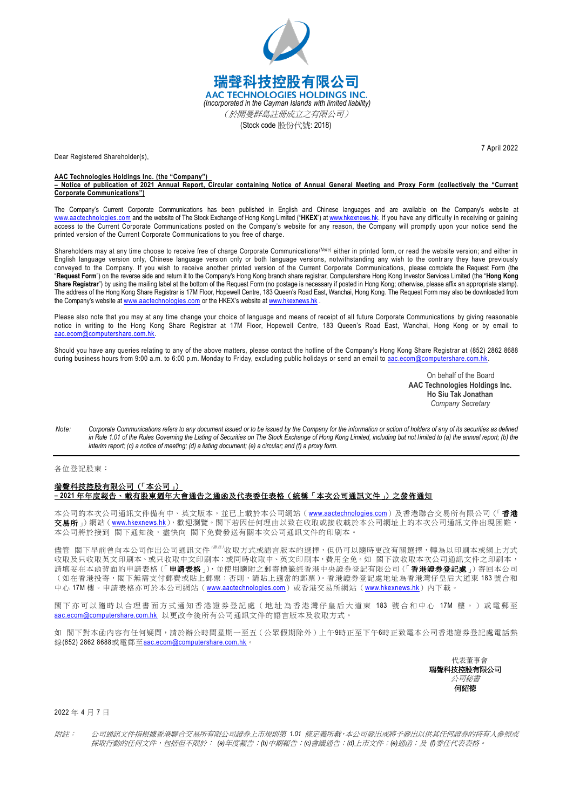

Dear Registered Shareholder(s),

## **AAC Technologies Holdings Inc. (the "Company")**

**– Notice of publication of 2021 Annual Report, Circular containing Notice of Annual General Meeting and Proxy Form (collectively the "Current Corporate Communications")**

The Company's Current Corporate Communications has been published in English and Chinese languages and are available on the Company's website at [www.aactechnologies.com](http://www.aactechnologies.com/) and the website of The Stock Exchange of Hong Kong Limited ("**HKEX**") at [www.hkexnews.hk.](http://www.hkexnews.hk/) If you have any difficulty in receiving or gaining access to the Current Corporate Communications posted on the Company's website for any reason, the Company will promptly upon your notice send the printed version of the Current Corporate Communications to you free of charge.

Shareholders may at any time choose to receive free of charge Corporate Communications<sup>(Note)</sup> either in printed form, or read the website version; and either in English language version only, Chinese language version only or both language versions, notwithstanding any wish to the contrary they have previously conveyed to the Company. If you wish to receive another printed version of the Current Corporate Communications, please complete the Request Form (the "**Request Form**") on the reverse side and return it to the Company's Hong Kong branch share registrar, Computershare Hong Kong Investor Services Limited (the "**Hong Kong**  Share Registrar") by using the mailing label at the bottom of the Request Form (no postage is necessary if posted in Hong Kong; otherwise, please affix an appropriate stamp). The address of the Hong Kong Share Registrar is 17M Floor, Hopewell Centre, 183 Queen's Road East, Wanchai, Hong Kong. The Request Form may also be downloaded from the Company's website at [www.aactechnologies.com](http://www.aactechnologies.com/) or the HKEX's website at [www.hkexnews.hk](http://www.hkexnews.hk/)

Please also note that you may at any time change your choice of language and means of receipt of all future Corporate Communications by giving reasonable notice in writing to the Hong Kong Share Registrar at 17M Floor, Hopewell Centre, 183 Queen's Road East, Wanchai, Hong Kong or by email to aac.ecom@computershare.com.hk

Should you have any queries relating to any of the above matters, please contact the hotline of the Company's Hong Kong Share Registrar at (852) 2862 8688 during business hours from 9:00 a.m. to 6:00 p.m. Monday to Friday, excluding public holidays or send an email t[o aac.ecom@computershare.com.hk.](mailto:aac.ecom@computershare.com.hk)

> On behalf of the Board **AAC Technologies Holdings Inc. Ho Siu Tak Jonathan** *Company Secretary*

*Note: Corporate Communications refers to any document issued or to be issued by the Company for the information or action of holders of any of its securities as defined*  in Rule 1.01 of the Rules Governing the Listing of Securities on The Stock Exchange of Hong Kong Limited, including but not limited to (a) the annual report; (b) the *interim report; (c) a notice of meeting; (d) a listing document; (e) a circular; and (f) a proxy form.*

## 各位登記股東:

## 瑞聲科技控股有限公司(「本公司」) **– 2021** 年年度報告、載有股東週年大會通告之通函及代表委任表格(統稱「本次公司通訊文件」)之發佈通知

本公司的本次公司通訊文件備有中、英文版本,並已上載於本公司網站([www.aactechnologies.com](http://www.aactechnologies.com/))及香港聯合交易所有限公司(「香**港** 交易所」)網站([www.hkexnews.hk](https://www.hkexnews.hk/index_c.htm)),歡迎瀏覽。閣下若因任何理由以致在收取或接收載於本公司網址上的本次公司通訊文件出現困難, --------<br>本公司將於接到 閣下通知後,盡快向 閣下免費發送有關本次公司通訊文件的印刷本。

儘管 閣下早前曾向本公司作出公司通訊文件(##'收取方式或語言版本的選擇,但仍可以隨時更改有關選擇,轉為以印刷本或網上方式 收取及只收取英文印刷本、或只收取中文印刷本;或同時收取中、英文印刷本,費用全免。如 閣下欲收取本次公司通訊文件之印刷本, 請填妥在本函背面的申請表格(「申請表格」),並使用隨附之郵寄標籤經香港中央證券登記有限公司(「香港證券登記處」)寄回本公司 。<br>(如在香港投寄,閣下無需支付郵費或貼上郵票;否則,請貼上適當的郵票 )。香港證券登記處地址為香港灣仔皇后大道東 183 號合和 中心 17M 樓。申請表格亦可於本公司網站 ([www.aactechnologies.com](http://www.aactechnologies.com/))或香港交易所網站 ([www.hkexnews.hk](https://www.hkexnews.hk/index_c.htm)) 內下載。

閣下亦可以隨時以合理書面方式通知香港證券登記處 ( 地址為 香港灣仔皇后大道 東 183 號合和中心 17M 樓 。 ) 或電郵至 [aac.ecom@computershare.com.hk](mailto:aac.ecom@computershare.com.hk) 以更改今後所有公司通訊文件的語言版本及收取方式。

如 閣下對本函內容有任何疑問,請於辦公時間星期一至五(公眾假期除外)上午9時正至下午6時正致電本公司香港證券登記處電話熱 線(852) 2862 8688或電郵至[aac.ecom@computershare.com.hk](mailto:aac.ecom@computershare.com.hk)。

> 代表董事會 瑞聲科技控股有限公司 公司秘書 何紹德

2022 年 4 月 7 日

附註: 公司通訊文件指根據香港聯合交易所有限公司證券上市規則第 *1.01* 條定義所載,本公司發出或將予發出以供其任何證券的持有人參照或 採取行動的任何文件,包括但不限於: *(a)*年度報告;*(b)*中期報告;*(c)*會議通告;*(d)*上市文件;*(e)*通函;及 *(f)*委任代表表格。

7 April 2022